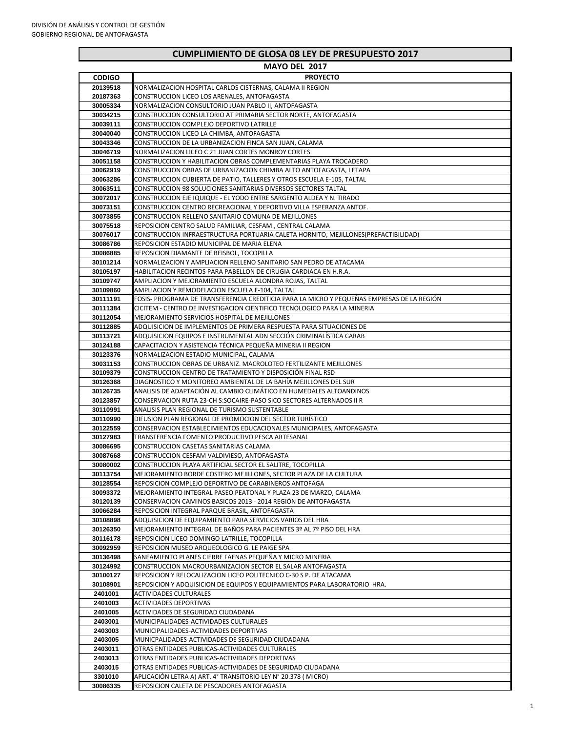|               | 101 ULL LUI <i>i</i>                                                                       |
|---------------|--------------------------------------------------------------------------------------------|
| <b>CODIGO</b> | <b>PROYECTO</b>                                                                            |
| 20139518      | NORMALIZACION HOSPITAL CARLOS CISTERNAS, CALAMA II REGION                                  |
| 20187363      | CONSTRUCCION LICEO LOS ARENALES, ANTOFAGASTA                                               |
| 30005334      | NORMALIZACION CONSULTORIO JUAN PABLO II, ANTOFAGASTA                                       |
|               |                                                                                            |
| 30034215      | CONSTRUCCION CONSULTORIO AT PRIMARIA SECTOR NORTE, ANTOFAGASTA                             |
| 30039111      | CONSTRUCCION COMPLEJO DEPORTIVO LATRILLE                                                   |
| 30040040      | CONSTRUCCION LICEO LA CHIMBA, ANTOFAGASTA                                                  |
| 30043346      | CONSTRUCCION DE LA URBANIZACION FINCA SAN JUAN, CALAMA                                     |
| 30046719      | NORMALIZACION LICEO C 21 JUAN CORTES MONROY CORTES                                         |
| 30051158      | CONSTRUCCION Y HABILITACION OBRAS COMPLEMENTARIAS PLAYA TROCADERO                          |
|               |                                                                                            |
| 30062919      | CONSTRUCCION OBRAS DE URBANIZACION CHIMBA ALTO ANTOFAGASTA, I ETAPA                        |
| 30063286      | CONSTRUCCION CUBIERTA DE PATIO, TALLERES Y OTROS ESCUELA E-105, TALTAL                     |
| 30063511      | CONSTRUCCION 98 SOLUCIONES SANITARIAS DIVERSOS SECTORES TALTAL                             |
| 30072017      | CONSTRUCCION EJE IQUIQUE - EL YODO ENTRE SARGENTO ALDEA Y N. TIRADO                        |
| 30073151      | CONSTRUCCION CENTRO RECREACIONAL Y DEPORTIVO VILLA ESPERANZA ANTOF.                        |
| 30073855      | CONSTRUCCION RELLENO SANITARIO COMUNA DE MEJILLONES                                        |
|               |                                                                                            |
| 30075518      | REPOSICION CENTRO SALUD FAMILIAR, CESFAM, CENTRAL CALAMA                                   |
| 30076017      | CONSTRUCCION INFRAESTRUCTURA PORTUARIA CALETA HORNITO, MEJILLONES(PREFACTIBILIDAD)         |
| 30086786      | REPOSICION ESTADIO MUNICIPAL DE MARIA ELENA                                                |
| 30086885      | REPOSICION DIAMANTE DE BEISBOL, TOCOPILLA                                                  |
| 30101214      | NORMALIZACION Y AMPLIACION RELLENO SANITARIO SAN PEDRO DE ATACAMA                          |
| 30105197      | HABILITACION RECINTOS PARA PABELLON DE CIRUGIA CARDIACA EN H.R.A.                          |
| 30109747      | AMPLIACION Y MEJORAMIENTO ESCUELA ALONDRA ROJAS, TALTAL                                    |
|               |                                                                                            |
| 30109860      | AMPLIACION Y REMODELACION ESCUELA E-104, TALTAL                                            |
| 30111191      | FOSIS- PROGRAMA DE TRANSFERENCIA CREDITICIA PARA LA MICRO Y PEQUEÑAS EMPRESAS DE LA REGIÓN |
| 30111384      | CICITEM - CENTRO DE INVESTIGACION CIENTIFICO TECNOLOGICO PARA LA MINERIA                   |
| 30112054      | MEJORAMIENTO SERVICIOS HOSPITAL DE MEJILLONES                                              |
| 30112885      | ADQUISICION DE IMPLEMENTOS DE PRIMERA RESPUESTA PARA SITUACIONES DE                        |
| 30113721      | ADQUISICION EQUIPOS E INSTRUMENTAL ADN SECCIÓN CRIMINALÍSTICA CARAB                        |
| 30124188      | CAPACITACION Y ASISTENCIA TÉCNICA PEQUEÑA MINERIA II REGION                                |
| 30123376      | NORMALIZACION ESTADIO MUNICIPAL, CALAMA                                                    |
| 30031153      | CONSTRUCCION OBRAS DE URBANIZ. MACROLOTEO FERTILIZANTE MEJILLONES                          |
|               | CONSTRUCCION CENTRO DE TRATAMIENTO Y DISPOSICIÓN FINAL RSD                                 |
| 30109379      |                                                                                            |
| 30126368      | DIAGNOSTICO Y MONITOREO AMBIENTAL DE LA BAHÍA MEJILLONES DEL SUR                           |
| 30126735      | ANALISIS DE ADAPTACIÓN AL CAMBIO CLIMÁTICO EN HUMEDALES ALTOANDINOS                        |
| 30123857      | CONSERVACION RUTA 23-CH S:SOCAIRE-PASO SICO SECTORES ALTERNADOS II R                       |
| 30110991      | ANALISIS PLAN REGIONAL DE TURISMO SUSTENTABLE                                              |
| 30110990      | DIFUSION PLAN REGIONAL DE PROMOCION DEL SECTOR TURÍSTICO                                   |
| 30122559      | CONSERVACION ESTABLECIMIENTOS EDUCACIONALES MUNICIPALES, ANTOFAGASTA                       |
| 30127983      | TRANSFERENCIA FOMENTO PRODUCTIVO PESCA ARTESANAL                                           |
| 30086695      | CONSTRUCCION CASETAS SANITARIAS CALAMA                                                     |
|               |                                                                                            |
| 30087668      | CONSTRUCCION CESFAM VALDIVIESO, ANTOFAGASTA                                                |
| 30080002      | CONSTRUCCION PLAYA ARTIFICIAL SECTOR EL SALITRE, TOCOPILLA                                 |
| 30113754      | MEJORAMIENTO BORDE COSTERO MEJILLONES, SECTOR PLAZA DE LA CULTURA                          |
| 30128554      | REPOSICION COMPLEJO DEPORTIVO DE CARABINEROS ANTOFAGA                                      |
| 30093372      | MEJORAMIENTO INTEGRAL PASEO PEATONAL Y PLAZA 23 DE MARZO, CALAMA                           |
| 30120139      | CONSERVACION CAMINOS BASICOS 2013 - 2014 REGIÓN DE ANTOFAGASTA                             |
| 30066284      | REPOSICION INTEGRAL PARQUE BRASIL, ANTOFAGASTA                                             |
| 30108898      | ADQUISICION DE EQUIPAMIENTO PARA SERVICIOS VARIOS DEL HRA                                  |
| 30126350      | MEJORAMIENTO INTEGRAL DE BAÑOS PARA PACIENTES 3º AL 7º PISO DEL HRA                        |
| 30116178      |                                                                                            |
|               | REPOSICION LICEO DOMINGO LATRILLE, TOCOPILLA                                               |
| 30092959      | REPOSICION MUSEO ARQUEOLOGICO G. LE PAIGE SPA                                              |
| 30136498      | SANEAMIENTO PLANES CIERRE FAENAS PEQUEÑA Y MICRO MINERIA                                   |
| 30124992      | CONSTRUCCION MACROURBANIZACION SECTOR EL SALAR ANTOFAGASTA                                 |
| 30100127      | REPOSICION Y RELOCALIZACION LICEO POLITECNICO C-30 S P. DE ATACAMA                         |
| 30108901      | REPOSICION Y ADQUISICION DE EQUIPOS Y EQUIPAMIENTOS PARA LABORATORIO HRA.                  |
| 2401001       | <b>ACTIVIDADES CULTURALES</b>                                                              |
| 2401003       | <b>ACTIVIDADES DEPORTIVAS</b>                                                              |
| 2401005       | ACTIVIDADES DE SEGURIDAD CIUDADANA                                                         |
| 2403001       | MUNICIPALIDADES-ACTIVIDADES CULTURALES                                                     |
|               |                                                                                            |
| 2403003       | MUNICIPALIDADES-ACTIVIDADES DEPORTIVAS                                                     |
| 2403005       | MUNICPALIDADES-ACTIVIDADES DE SEGURIDAD CIUDADANA                                          |
| 2403011       | OTRAS ENTIDADES PUBLICAS-ACTIVIDADES CULTURALES                                            |
| 2403013       | OTRAS ENTIDADES PUBLICAS-ACTIVIDADES DEPORTIVAS                                            |
| 2403015       | OTRAS ENTIDADES PUBLICAS-ACTIVIDADES DE SEGURIDAD CIUDADANA                                |
| 3301010       | APLICACIÓN LETRA A) ART. 4° TRANSITORIO LEY N° 20.378 (MICRO)                              |
| 30086335      | REPOSICION CALETA DE PESCADORES ANTOFAGASTA                                                |

# **CUMPLIMIENTO DE GLOSA 08 LEY DE PRESUPUESTO 2017**

### **MAYO DEL 2017**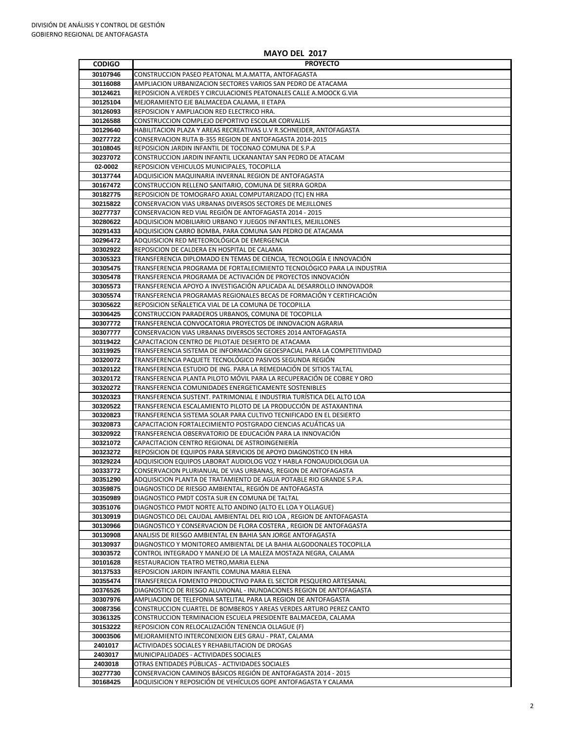#### **MAYO DEL 2017**

## **CODIGO PROYECTO** CONSTRUCCION PASEO PEATONAL M.A.MATTA, ANTOFAGASTA AMPLIACION URBANIZACION SECTORES VARIOS SAN PEDRO DE ATACAMA REPOSICION A.VERDES Y CIRCULACIONES PEATONALES CALLE A.MOOCK G.VIA MEJORAMIENTO EJE BALMACEDA CALAMA, II ETAPA REPOSICION Y AMPLIACION RED ELECTRICO HRA. CONSTRUCCION COMPLEJO DEPORTIVO ESCOLAR CORVALLIS HABILITACION PLAZA Y AREAS RECREATIVAS U.V R.SCHNEIDER, ANTOFAGASTA CONSERVACION RUTA B-355 REGION DE ANTOFAGASTA 2014-2015 REPOSICION JARDIN INFANTIL DE TOCONAO COMUNA DE S.P.A CONSTRUCCION JARDIN INFANTIL LICKANANTAY SAN PEDRO DE ATACAM **02-0002** REPOSICION VEHICULOS MUNICIPALES, TOCOPILLA ADQUISICION MAQUINARIA INVERNAL REGION DE ANTOFAGASTA CONSTRUCCION RELLENO SANITARIO, COMUNA DE SIERRA GORDA REPOSICION DE TOMOGRAFO AXIAL COMPUTARIZADO (TC) EN HRA CONSERVACION VIAS URBANAS DIVERSOS SECTORES DE MEJILLONES CONSERVACION RED VIAL REGIÓN DE ANTOFAGASTA 2014 - 2015 ADQUISICION MOBILIARIO URBANO Y JUEGOS INFANTILES, MEJILLONES ADQUISICION CARRO BOMBA, PARA COMUNA SAN PEDRO DE ATACAMA ADQUISICION RED METEOROLÓGICA DE EMERGENCIA REPOSICION DE CALDERA EN HOSPITAL DE CALAMA TRANSFERENCIA DIPLOMADO EN TEMAS DE CIENCIA, TECNOLOGÍA E INNOVACIÓN TRANSFERENCIA PROGRAMA DE FORTALECIMIENTO TECNOLÓGICO PARA LA INDUSTRIA TRANSFERENCIA PROGRAMA DE ACTIVACIÓN DE PROYECTOS INNOVACIÓN TRANSFERENCIA APOYO A INVESTIGACIÓN APLICADA AL DESARROLLO INNOVADOR TRANSFERENCIA PROGRAMAS REGIONALES BECAS DE FORMACIÓN Y CERTIFICACIÓN REPOSICION SEÑALETICA VIAL DE LA COMUNA DE TOCOPILLA CONSTRUCCION PARADEROS URBANOS, COMUNA DE TOCOPILLA TRANSFERENCIA CONVOCATORIA PROYECTOS DE INNOVACION AGRARIA CONSERVACION VIAS URBANAS DIVERSOS SECTORES 2014 ANTOFAGASTA CAPACITACION CENTRO DE PILOTAJE DESIERTO DE ATACAMA TRANSFERENCIA SISTEMA DE INFORMACIÓN GEOESPACIAL PARA LA COMPETITIVIDAD TRANSFERENCIA PAQUETE TECNOLÓGICO PASIVOS SEGUNDA REGIÓN TRANSFERENCIA ESTUDIO DE ING. PARA LA REMEDIACIÓN DE SITIOS TALTAL TRANSFERENCIA PLANTA PILOTO MÓVIL PARA LA RECUPERACIÓN DE COBRE Y ORO TRANSFERENCIA COMUNIDADES ENERGETICAMENTE SOSTENIBLES TRANSFERENCIA SUSTENT. PATRIMONIAL E INDUSTRIA TURÍSTICA DEL ALTO LOA TRANSFERENCIA ESCALAMIENTO PILOTO DE LA PRODUCCIÓN DE ASTAXANTINA TRANSFERENCIA SISTEMA SOLAR PARA CULTIVO TECNIFICADO EN EL DESIERTO CAPACITACION FORTALECIMIENTO POSTGRADO CIENCIAS ACUÁTICAS UA TRANSFERENCIA OBSERVATORIO DE EDUCACIÓN PARA LA INNOVACIÓN CAPACITACION CENTRO REGIONAL DE ASTROINGENIERÍA REPOSICION DE EQUIPOS PARA SERVICIOS DE APOYO DIAGNOSTICO EN HRA ADQUISICION EQUIPOS LABORAT AUDIOLOG VOZ Y HABLA FONOAUDIOLOGIA UA CONSERVACION PLURIANUAL DE VIAS URBANAS, REGION DE ANTOFAGASTA ADQUISICION PLANTA DE TRATAMIENTO DE AGUA POTABLE RIO GRANDE S.P.A. DIAGNOSTICO DE RIESGO AMBIENTAL, REGIÓN DE ANTOFAGASTA DIAGNOSTICO PMDT COSTA SUR EN COMUNA DE TALTAL DIAGNOSTICO PMDT NORTE ALTO ANDINO (ALTO EL LOA Y OLLAGUE) DIAGNOSTICO DEL CAUDAL AMBIENTAL DEL RIO LOA , REGION DE ANTOFAGASTA DIAGNOSTICO Y CONSERVACION DE FLORA COSTERA , REGION DE ANTOFAGASTA ANALISIS DE RIESGO AMBIENTAL EN BAHIA SAN JORGE ANTOFAGASTA DIAGNOSTICO Y MONITOREO AMBIENTAL DE LA BAHIA ALGODONALES TOCOPILLA CONTROL INTEGRADO Y MANEJO DE LA MALEZA MOSTAZA NEGRA, CALAMA RESTAURACION TEATRO METRO,MARIA ELENA

REPOSICION JARDIN INFANTIL COMUNA MARIA ELENA

| 30355474 | TRANSFERECIA FOMENTO PRODUCTIVO PARA EL SECTOR PESQUERO ARTESANAL         |
|----------|---------------------------------------------------------------------------|
| 30376526 | DIAGNOSTICO DE RIESGO ALUVIONAL - INUNDACIONES REGION DE ANTOFAGASTA      |
| 30307976 | AMPLIACION DE TELEFONIA SATELITAL PARA LA REGION DE ANTOFAGASTA           |
| 30087356 | <b>CONSTRUCCION CUARTEL DE BOMBEROS Y AREAS VERDES ARTURO PEREZ CANTO</b> |
| 30361325 | CONSTRUCCION TERMINACION ESCUELA PRESIDENTE BALMACEDA, CALAMA             |
| 30153222 | REPOSICION CON RELOCALIZACIÓN TENENCIA OLLAGUE (F)                        |
| 30003506 | MEJORAMIENTO INTERCONEXION EJES GRAU - PRAT, CALAMA                       |
| 2401017  | ACTIVIDADES SOCIALES Y REHABILITACION DE DROGAS                           |
| 2403017  | MUNICIPALIDADES - ACTIVIDADES SOCIALES                                    |
| 2403018  | OTRAS ENTIDADES PÚBLICAS - ACTIVIDADES SOCIALES                           |
| 30277730 | CONSERVACION CAMINOS BÁSICOS REGIÓN DE ANTOFAGASTA 2014 - 2015            |
| 30168425 | ADQUISICION Y REPOSICIÓN DE VEHÍCULOS GOPE ANTOFAGASTA Y CALAMA           |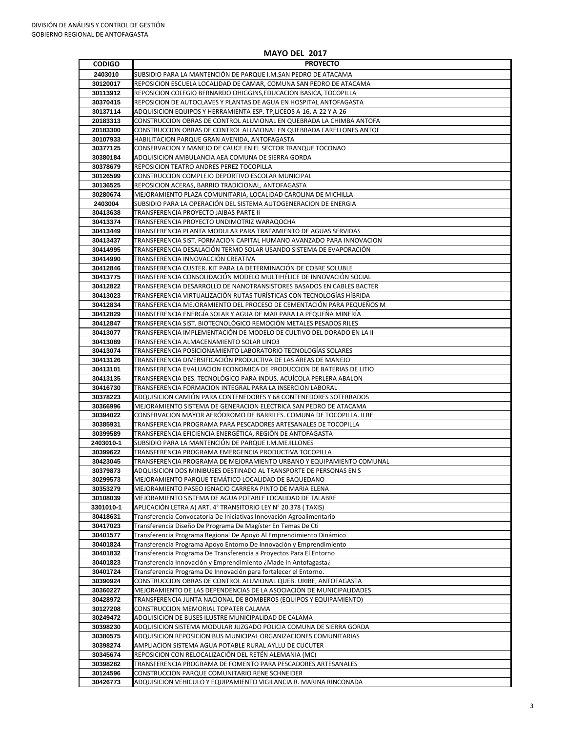#### **MAYO DEL 2017**

## **CODIGO PROYECTO** SUBSIDIO PARA LA MANTENCIÓN DE PARQUE I.M.SAN PEDRO DE ATACAMA REPOSICION ESCUELA LOCALIDAD DE CAMAR, COMUNA SAN PEDRO DE ATACAMA REPOSICION COLEGIO BERNARDO OHIGGINS,EDUCACION BASICA, TOCOPILLA REPOSICION DE AUTOCLAVES Y PLANTAS DE AGUA EN HOSPITAL ANTOFAGASTA ADQUISICION EQUIPOS Y HERRAMIENTA ESP. TP,LICEOS A-16, A-22 Y A-26 CONSTRUCCION OBRAS DE CONTROL ALUVIONAL EN QUEBRADA LA CHIMBA ANTOFA CONSTRUCCION OBRAS DE CONTROL ALUVIONAL EN QUEBRADA FARELLONES ANTOF HABILITACION PARQUE GRAN AVENIDA, ANTOFAGASTA CONSERVACION Y MANEJO DE CAUCE EN EL SECTOR TRANQUE TOCONAO ADQUISICION AMBULANCIA AEA COMUNA DE SIERRA GORDA REPOSICION TEATRO ANDRES PEREZ TOCOPILLA CONSTRUCCION COMPLEJO DEPORTIVO ESCOLAR MUNICIPAL REPOSICION ACERAS, BARRIO TRADICIONAL, ANTOFAGASTA MEJORAMIENTO PLAZA COMUNITARIA, LOCALIDAD CAROLINA DE MICHILLA SUBSIDIO PARA LA OPERACIÓN DEL SISTEMA AUTOGENERACION DE ENERGIA TRANSFERENCIA PROYECTO JAIBAS PARTE II TRANSFERENCIA PROYECTO UNDIMOTRIZ WARAQOCHA TRANSFERENCIA PLANTA MODULAR PARA TRATAMIENTO DE AGUAS SERVIDAS TRANSFERENCIA SIST. FORMACION CAPITAL HUMANO AVANZADO PARA INNOVACION TRANSFERENCIA DESALACIÓN TERMO SOLAR USANDO SISTEMA DE EVAPORACIÓN TRANSFERENCIA INNOVACCIÓN CREATIVA TRANSFERENCIA CUSTER. KIT PARA LA DETERMINACIÓN DE COBRE SOLUBLE TRANSFERENCIA CONSOLIDACIÓN MODELO MULTIHÉLICE DE INNOVACIÓN SOCIAL TRANSFERENCIA DESARROLLO DE NANOTRANSISTORES BASADOS EN CABLES BACTER TRANSFERENCIA VIRTUALIZACIÓN RUTAS TURÍSTICAS CON TECNOLOGÍAS HÍBRIDA TRANSFERENCIA MEJORAMIENTO DEL PROCESO DE CEMENTACIÓN PARA PEQUEÑOS M TRANSFERENCIA ENERGÍA SOLAR Y AGUA DE MAR PARA LA PEQUEÑA MINERÍA TRANSFERENCIA SIST. BIOTECNOLÓGICO REMOCIÓN METALES PESADOS RILES TRANSFERENCIA IMPLEMENTACIÓN DE MODELO DE CULTIVO DEL DORADO EN LA II TRANSFERENCIA ALMACENAMIENTO SOLAR LINO3 TRANSFERENCIA POSICIONAMIENTO LABORATORIO TECNOLOGÍAS SOLARES TRANSFERENCIA DIVERSIFICACIÓN PRODUCTIVA DE LAS ÁREAS DE MANEJO TRANSFERENCIA EVALUACION ECONOMICA DE PRODUCCION DE BATERIAS DE LITIO TRANSFERENCIA DES. TECNOLÓGICO PARA INDUS. ACUÍCOLA PERLERA ABALON TRANSFERENCIA FORMACION INTEGRAL PARA LA INSERCION LABORAL ADQUISICION CAMIÓN PARA CONTENEDORES Y 68 CONTENEDORES SOTERRADOS MEJORAMIENTO SISTEMA DE GENERACION ELECTRICA SAN PEDRO DE ATACAMA CONSERVACION MAYOR AERÓDROMO DE BARRILES. COMUNA DE TOCOPILLA. II RE TRANSFERENCIA PROGRAMA PARA PESCADORES ARTESANALES DE TOCOPILLA TRANSFERENCIA EFICIENCIA ENERGÉTICA, REGIÓN DE ANTOFAGASTA **2403010-1** SUBSIDIO PARA LA MANTENCIÓN DE PARQUE I.M.MEJILLONES TRANSFERENCIA PROGRAMA EMERGENCIA PRODUCTIVA TOCOPILLA TRANSFERENCIA PROGRAMA DE MEJORAMIENTO URBANO Y EQUIPAMIENTO COMUNAL ADQUISICION DOS MINIBUSES DESTINADO AL TRANSPORTE DE PERSONAS EN S MEJORAMIENTO PARQUE TEMÁTICO LOCALIDAD DE BAQUEDANO MEJORAMIENTO PASEO IGNACIO CARRERA PINTO DE MARIA ELENA MEJORAMIENTO SISTEMA DE AGUA POTABLE LOCALIDAD DE TALABRE **3301010-1** APLICACIÓN LETRA A) ART. 4° TRANSITORIO LEY N° 20.378 ( TAXIS) Transferencia Convocatoria De Iniciativas Innovación Agroalimentario Transferencia Diseño De Programa De Magíster En Temas De Cti Transferencia Programa Regional De Apoyo Al Emprendimiento Dinámico Transferencia Programa Apoyo Entorno De Innovación y Emprendimiento Transferencia Programa De Transferencia a Proyectos Para El Entorno Transferencia Innovación y Emprendimiento ¿Made In Antofagasta¿ Transferencia Programa De Innovación para fortalecer el Entorno.

| 30390924 | CONSTRUCCION OBRAS DE CONTROL ALUVIONAL QUEB. URIBE, ANTOFAGASTA     |
|----------|----------------------------------------------------------------------|
| 30360227 | MEJORAMIENTO DE LAS DEPENDENCIAS DE LA ASOCIACIÓN DE MUNICIPALIDADES |
| 30428972 | TRANSFERENCIA JUNTA NACIONAL DE BOMBEROS (EQUIPOS Y EQUIPAMIENTO)    |
| 30127208 | CONSTRUCCION MEMORIAL TOPATER CALAMA                                 |
| 30249472 | ADQUISICION DE BUSES ILUSTRE MUNICIPALIDAD DE CALAMA                 |
| 30398230 | ADQUISICION SISTEMA MODULAR JUZGADO POLICIA COMUNA DE SIERRA GORDA   |
| 30380575 | ADQUISICION REPOSICION BUS MUNICIPAL ORGANIZACIONES COMUNITARIAS     |
| 30398274 | AMPLIACION SISTEMA AGUA POTABLE RURAL AYLLU DE CUCUTER               |
| 30345674 | REPOSICION CON RELOCALIZACIÓN DEL RETÉN ALEMANIA (MC)                |
| 30398282 | TRANSFERENCIA PROGRAMA DE FOMENTO PARA PESCADORES ARTESANALES        |
| 30124596 | CONSTRUCCION PARQUE COMUNITARIO RENE SCHNEIDER                       |
| 30426773 | ADQUISICION VEHICULO Y EQUIPAMIENTO VIGILANCIA R. MARINA RINCONADA   |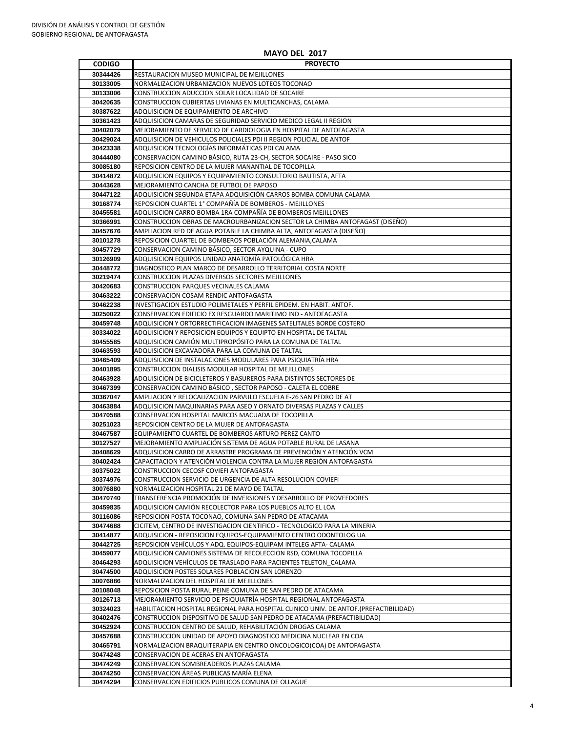## **MAYO DEL 2017**

| <b>CODIGO</b>        | <b>PROYECTO</b>                                                                                                                          |
|----------------------|------------------------------------------------------------------------------------------------------------------------------------------|
| 30344426             | RESTAURACION MUSEO MUNICIPAL DE MEJILLONES                                                                                               |
| 30133005             | NORMALIZACION URBANIZACION NUEVOS LOTEOS TOCONAO                                                                                         |
| 30133006             | CONSTRUCCION ADUCCION SOLAR LOCALIDAD DE SOCAIRE                                                                                         |
| 30420635             | CONSTRUCCION CUBIERTAS LIVIANAS EN MULTICANCHAS, CALAMA                                                                                  |
| 30387622             | ADQUISICION DE EQUIPAMIENTO DE ARCHIVO                                                                                                   |
| 30361423             | ADQUISICION CAMARAS DE SEGURIDAD SERVICIO MEDICO LEGAL II REGION                                                                         |
| 30402079             | MEJORAMIENTO DE SERVICIO DE CARDIOLOGIA EN HOSPITAL DE ANTOFAGASTA                                                                       |
| 30429024             | ADQUISICION DE VEHICULOS POLICIALES PDI II REGION POLICIAL DE ANTOF                                                                      |
| 30423338             | ADQUISICION TECNOLOGÍAS INFORMÁTICAS PDI CALAMA                                                                                          |
| 30444080             | CONSERVACION CAMINO BÁSICO, RUTA 23-CH, SECTOR SOCAIRE - PASO SICO                                                                       |
| 30085180             | REPOSICION CENTRO DE LA MUJER MANANTIAL DE TOCOPILLA                                                                                     |
| 30414872             | ADQUISICION EQUIPOS Y EQUIPAMIENTO CONSULTORIO BAUTISTA, AFTA                                                                            |
| 30443628             | MEJORAMIENTO CANCHA DE FUTBOL DE PAPOSO                                                                                                  |
| 30447122             | ADQUISICION SEGUNDA ETAPA ADQUISICIÓN CARROS BOMBA COMUNA CALAMA                                                                         |
| 30168774             | REPOSICION CUARTEL 1° COMPAÑÍA DE BOMBEROS - MEJILLONES                                                                                  |
| 30455581             | ADQUISICION CARRO BOMBA 1RA COMPAÑÍA DE BOMBEROS MEJILLONES                                                                              |
| 30366991             | CONSTRUCCION OBRAS DE MACROURBANIZACION SECTOR LA CHIMBA ANTOFAGAST (DISEÑO)                                                             |
| 30457676             | AMPLIACION RED DE AGUA POTABLE LA CHIMBA ALTA, ANTOFAGASTA (DISEÑO)                                                                      |
| 30101278             | REPOSICION CUARTEL DE BOMBEROS POBLACIÓN ALEMANIA, CALAMA                                                                                |
| 30457729             | CONSERVACION CAMINO BÁSICO, SECTOR AYQUINA - CUPO                                                                                        |
| 30126909<br>30448772 | ADQUISICION EQUIPOS UNIDAD ANATOMÍA PATOLÓGICA HRA                                                                                       |
| 30219474             | DIAGNOSTICO PLAN MARCO DE DESARROLLO TERRITORIAL COSTA NORTE<br>CONSTRUCCION PLAZAS DIVERSOS SECTORES MEJILLONES                         |
| 30420683             | CONSTRUCCION PARQUES VECINALES CALAMA                                                                                                    |
| 30463222             | CONSERVACION COSAM RENDIC ANTOFAGASTA                                                                                                    |
| 30462238             | INVESTIGACION ESTUDIO POLIMETALES Y PERFIL EPIDEM. EN HABIT. ANTOF.                                                                      |
| 30250022             | CONSERVACION EDIFICIO EX RESGUARDO MARITIMO IND - ANTOFAGASTA                                                                            |
| 30459748             | ADQUISICION Y ORTORRECTIFICACION IMAGENES SATELITALES BORDE COSTERO                                                                      |
| 30334022             | ADQUISICION Y REPOSICION EQUIPOS Y EQUIPTO EN HOSPITAL DE TALTAL                                                                         |
| 30455585             | ADQUISICION CAMIÓN MULTIPROPÓSITO PARA LA COMUNA DE TALTAL                                                                               |
| 30463593             | ADQUISICION EXCAVADORA PARA LA COMUNA DE TALTAL                                                                                          |
| 30465409             | ADQUISICION DE INSTALACIONES MODULARES PARA PSIQUIATRÍA HRA                                                                              |
| 30401895             | CONSTRUCCION DIALISIS MODULAR HOSPITAL DE MEJILLONES                                                                                     |
| 30463928             | ADQUISICION DE BICICLETEROS Y BASUREROS PARA DISTINTOS SECTORES DE                                                                       |
| 30467399             | CONSERVACION CAMINO BÁSICO, SECTOR PAPOSO - CALETA EL COBRE                                                                              |
| 30367047             | AMPLIACION Y RELOCALIZACION PARVULO ESCUELA E-26 SAN PEDRO DE AT                                                                         |
| 30463884             | ADQUISICION MAQUINARIAS PARA ASEO Y ORNATO DIVERSAS PLAZAS Y CALLES                                                                      |
| 30470588             | CONSERVACION HOSPITAL MARCOS MACUADA DE TOCOPILLA                                                                                        |
| 30251023             | REPOSICION CENTRO DE LA MUJER DE ANTOFAGASTA                                                                                             |
| 30467587             | EQUIPAMIENTO CUARTEL DE BOMBEROS ARTURO PEREZ CANTO                                                                                      |
| 30127527             | MEJORAMIENTO AMPLIACIÓN SISTEMA DE AGUA POTABLE RURAL DE LASANA                                                                          |
| 30408629             | ADQUISICION CARRO DE ARRASTRE PROGRAMA DE PREVENCIÓN Y ATENCIÓN VCM                                                                      |
| 30402424<br>30375022 | CAPACITACION Y ATENCIÓN VIOLENCIA CONTRA LA MUJER REGIÓN ANTOFAGASTA<br>CONSTRUCCION CECOSF COVIEFI ANTOFAGASTA                          |
| 30374976             | CONSTRUCCION SERVICIO DE URGENCIA DE ALTA RESOLUCION COVIEFI                                                                             |
| 30076880             | NORMALIZACION HOSPITAL 21 DE MAYO DE TALTAL                                                                                              |
| 30470740             | TRANSFERENCIA PROMOCIÓN DE INVERSIONES Y DESARROLLO DE PROVEEDORES                                                                       |
| 30459835             | ADQUISICION CAMIÓN RECOLECTOR PARA LOS PUEBLOS ALTO EL LOA                                                                               |
| 30116086             | REPOSICION POSTA TOCONAO, COMUNA SAN PEDRO DE ATACAMA                                                                                    |
| 30474688             | CICITEM, CENTRO DE INVESTIGACION CIENTIFICO - TECNOLOGICO PARA LA MINERIA                                                                |
| 30414877             | ADQUISICION - REPOSICION EQUIPOS-EQUIPAMIENTO CENTRO ODONTOLOG UA                                                                        |
| 30442725             | REPOSICION VEHÍCULOS Y ADQ. EQUIPOS-EQUIPAM INTELEG AFTA- CALAMA                                                                         |
| 30459077             | ADQUISICION CAMIONES SISTEMA DE RECOLECCION RSD, COMUNA TOCOPILLA                                                                        |
| 30464293             | ADQUISICION VEHÍCULOS DE TRASLADO PARA PACIENTES TELETON CALAMA                                                                          |
| 30474500             | ADQUISICION POSTES SOLARES POBLACION SAN LORENZO                                                                                         |
| 30076886             | NORMALIZACION DEL HOSPITAL DE MEJILLONES                                                                                                 |
| 30108048             | REPOSICION POSTA RURAL PEINE COMUNA DE SAN PEDRO DE ATACAMA                                                                              |
| 30126713             | MEJORAMIENTO SERVICIO DE PSIQUIATRÍA HOSPITAL REGIONAL ANTOFAGASTA                                                                       |
| 30324023             | HABILITACION HOSPITAL REGIONAL PARA HOSPITAL CLINICO UNIV. DE ANTOF.(PREFACTIBILIDAD)                                                    |
| 30402476             | CONSTRUCCION DISPOSITIVO DE SALUD SAN PEDRO DE ATACAMA (PREFACTIBILIDAD)                                                                 |
| 30452924             | CONSTRUCCION CENTRO DE SALUD, REHABILITACIÓN DROGAS CALAMA                                                                               |
| 30457688<br>30465791 | CONSTRUCCION UNIDAD DE APOYO DIAGNOSTICO MEDICINA NUCLEAR EN COA<br>NORMALIZACION BRAQUITERAPIA EN CENTRO ONCOLOGICO(COA) DE ANTOFAGASTA |
| 30474248             | CONSERVACION DE ACERAS EN ANTOFAGASTA                                                                                                    |
| 30474249             | CONSERVACION SOMBREADEROS PLAZAS CALAMA                                                                                                  |
| 30474250             | CONSERVACION ÁREAS PUBLICAS MARÍA ELENA                                                                                                  |
| 30474294             | CONSERVACION EDIFICIOS PUBLICOS COMUNA DE OLLAGUE                                                                                        |